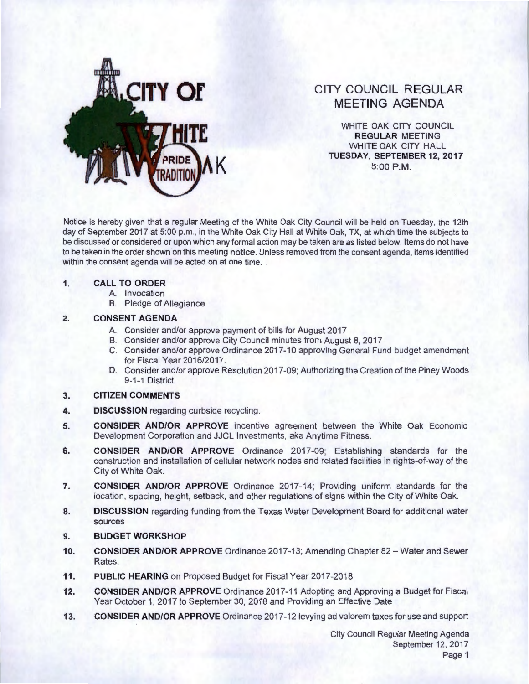

# **CITY COUNCIL REGULAR MEETING AGENDA**

WHITE OAK CITY COUNCIL **REGULAR** MEETING WHITE OAK CITY HALL **K TUESDAY, SEPTEMBER12,2017**  5:00 P.M.

Notice is hereby given that a regular Meeting of the White Oak City Council will be held on Tuesday, the 12th day of September 2017 at 5:00 p.m., in the White Oak City Hall at White Oak, TX, at which time the subjects to be discussed or considered or upon which any formal action may be taken are as listed below. Items do not have to be taken in the order shown on this meeting notice. Unless removed from the consent agenda, items identified within the consent agenda will be acted on at one time.

#### **1. CALL TO ORDER**

- A. Invocation
- B. Pledge of Allegiance

## **2. CONSENT AGENDA**

- A. Consider and/or approve payment of bills for August 2017
- B. Consider and/or approve City Council minutes from August 8, 2017
- C. Consider and/or approve Ordinance 2017-10 approving General Fund budget amendment for Fiscal Year 2016/2017.
- D. Consider and/or approve Resolution 2017 -09; Authorizing the Creation of the Piney Woods 9-1-1 District.

## **3. CITIZEN COMMENTS**

- **4. DISCUSSION** regarding curbside recycling.
- **5. CONSIDER AND/OR APPROVE** incentive agreement between the White Oak Economic Development Corporation and JJCL Investments, aka Anytime Fitness.
- **6. CONSIDER AND/OR APPROVE** Ordinance 2017-09; Establishing standards for the construction and installation of cellular network nodes and related facilities in rights-of-way of the City of White Oak.
- **7. CONSIDER AND/OR APPROVE** Ordinance 2017-14; Providing uniform standards for the location, spacing, height, setback, and other regulations of signs within the City of White Oak.
- **8. DISCUSSION** regarding funding from the Texas Water Development Board for additional water sources
- **9. BUDGET WORKSHOP**
- **10. CONSIDER AND/OR APPROVE** Ordinance 2017-13; Amending Chapter 82- Water and Sewer Rates.
- **11. PUBLIC HEARING** on Proposed Budget for Fiscal Year 2017-2018
- **12. CONSIDER AND/OR APPROVE** Ordinance 2017-11 Adopting and Approving a Budget for Fiscal Year October 1, 2017 to September 30, 2018 and Providing an Effective Date
- **13. CONSIDER AND/OR APPROVE** Ordinance 2017-121evying ad valorem taxes for use and support